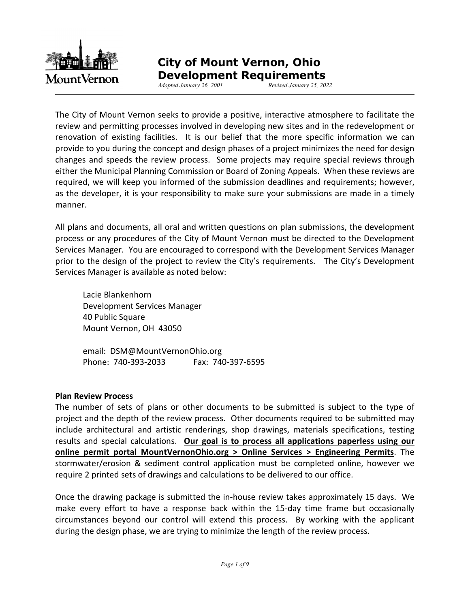

# **City of Mount Vernon, Ohio**

 **Development Requirements** *Adopted January 26, 2001 Revised January 25, 2022* 

The City of Mount Vernon seeks to provide a positive, interactive atmosphere to facilitate the review and permitting processes involved in developing new sites and in the redevelopment or renovation of existing facilities. It is our belief that the more specific information we can provide to you during the concept and design phases of a project minimizes the need for design changes and speeds the review process. Some projects may require special reviews through either the Municipal Planning Commission or Board of Zoning Appeals. When these reviews are required, we will keep you informed of the submission deadlines and requirements; however, as the developer, it is your responsibility to make sure your submissions are made in a timely manner.

All plans and documents, all oral and written questions on plan submissions, the development process or any procedures of the City of Mount Vernon must be directed to the Development Services Manager. You are encouraged to correspond with the Development Services Manager prior to the design of the project to review the City's requirements. The City's Development Services Manager is available as noted below:

 Lacie Blankenhorn Development Services Manager 40 Public Square Mount Vernon, OH 43050

 email: DSM@MountVernonOhio.org Phone: 740-393-2033 Fax: 740-397-6595

#### **Plan Review Process**

The number of sets of plans or other documents to be submitted is subject to the type of project and the depth of the review process. Other documents required to be submitted may include architectural and artistic renderings, shop drawings, materials specifications, testing results and special calculations. **Our goal is to process all applications paperless using our online permit portal MountVernonOhio.org > Online Services > Engineering Permits**. The stormwater/erosion & sediment control application must be completed online, however we require 2 printed sets of drawings and calculations to be delivered to our office.

Once the drawing package is submitted the in-house review takes approximately 15 days. We make every effort to have a response back within the 15-day time frame but occasionally circumstances beyond our control will extend this process. By working with the applicant during the design phase, we are trying to minimize the length of the review process.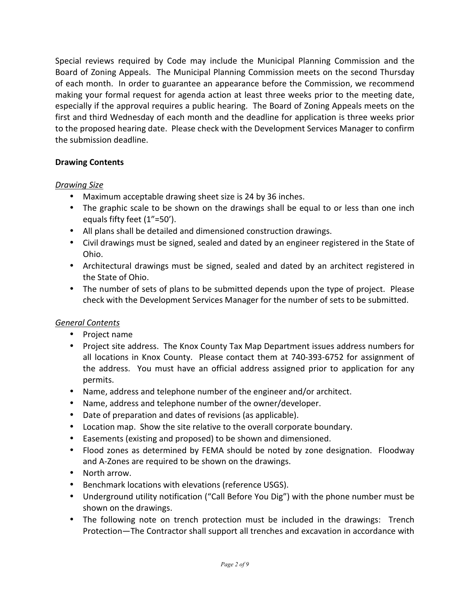Special reviews required by Code may include the Municipal Planning Commission and the Board of Zoning Appeals. The Municipal Planning Commission meets on the second Thursday of each month. In order to guarantee an appearance before the Commission, we recommend making your formal request for agenda action at least three weeks prior to the meeting date, especially if the approval requires a public hearing. The Board of Zoning Appeals meets on the first and third Wednesday of each month and the deadline for application is three weeks prior to the proposed hearing date. Please check with the Development Services Manager to confirm the submission deadline.

#### **Drawing Contents**

#### *Drawing Size*

- Maximum acceptable drawing sheet size is 24 by 36 inches.
- The graphic scale to be shown on the drawings shall be equal to or less than one inch equals fifty feet (1"=50').
- All plans shall be detailed and dimensioned construction drawings.
- Civil drawings must be signed, sealed and dated by an engineer registered in the State of Ohio.
- Architectural drawings must be signed, sealed and dated by an architect registered in the State of Ohio.
- The number of sets of plans to be submitted depends upon the type of project. Please check with the Development Services Manager for the number of sets to be submitted.

#### *General Contents*

- Project name
- Project site address. The Knox County Tax Map Department issues address numbers for all locations in Knox County. Please contact them at 740-393-6752 for assignment of the address. You must have an official address assigned prior to application for any permits.
- Name, address and telephone number of the engineer and/or architect.
- Name, address and telephone number of the owner/developer.
- Date of preparation and dates of revisions (as applicable).
- Location map. Show the site relative to the overall corporate boundary.
- Easements (existing and proposed) to be shown and dimensioned.
- Flood zones as determined by FEMA should be noted by zone designation. Floodway and A-Zones are required to be shown on the drawings.
- North arrow.
- Benchmark locations with elevations (reference USGS).
- Underground utility notification ("Call Before You Dig") with the phone number must be shown on the drawings.
- The following note on trench protection must be included in the drawings: Trench Protection—The Contractor shall support all trenches and excavation in accordance with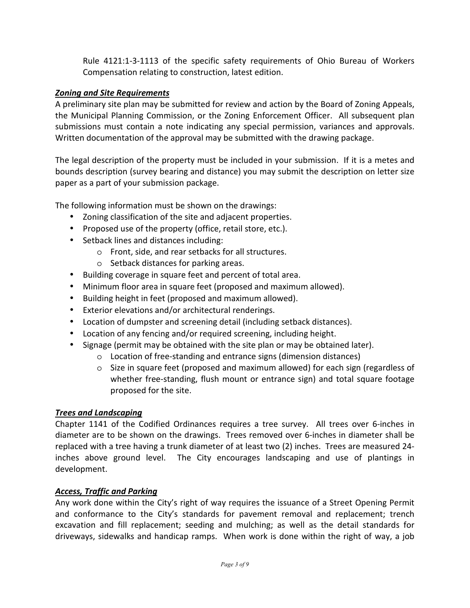Rule 4121:1-3-1113 of the specific safety requirements of Ohio Bureau of Workers Compensation relating to construction, latest edition.

#### *Zoning and Site Requirements*

A preliminary site plan may be submitted for review and action by the Board of Zoning Appeals, the Municipal Planning Commission, or the Zoning Enforcement Officer. All subsequent plan submissions must contain a note indicating any special permission, variances and approvals. Written documentation of the approval may be submitted with the drawing package.

The legal description of the property must be included in your submission. If it is a metes and bounds description (survey bearing and distance) you may submit the description on letter size paper as a part of your submission package.

The following information must be shown on the drawings:

- Zoning classification of the site and adjacent properties.
- Proposed use of the property (office, retail store, etc.).
- Setback lines and distances including:
	- o Front, side, and rear setbacks for all structures.
	- o Setback distances for parking areas.
- Building coverage in square feet and percent of total area.
- Minimum floor area in square feet (proposed and maximum allowed).
- Building height in feet (proposed and maximum allowed).
- Exterior elevations and/or architectural renderings.
- Location of dumpster and screening detail (including setback distances).
- Location of any fencing and/or required screening, including height.
- Signage (permit may be obtained with the site plan or may be obtained later).
	- o Location of free-standing and entrance signs (dimension distances)
	- o Size in square feet (proposed and maximum allowed) for each sign (regardless of whether free-standing, flush mount or entrance sign) and total square footage proposed for the site.

#### *Trees and Landscaping*

Chapter 1141 of the Codified Ordinances requires a tree survey. All trees over 6-inches in diameter are to be shown on the drawings. Trees removed over 6-inches in diameter shall be replaced with a tree having a trunk diameter of at least two (2) inches. Trees are measured 24 inches above ground level. The City encourages landscaping and use of plantings in development.

#### *Access, Traffic and Parking*

Any work done within the City's right of way requires the issuance of a Street Opening Permit and conformance to the City's standards for pavement removal and replacement; trench excavation and fill replacement; seeding and mulching; as well as the detail standards for driveways, sidewalks and handicap ramps. When work is done within the right of way, a job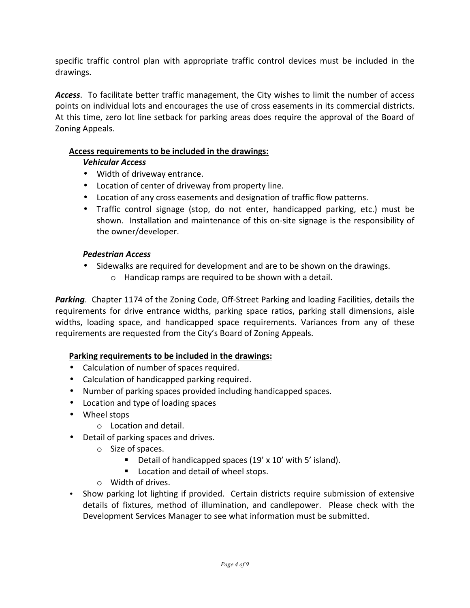specific traffic control plan with appropriate traffic control devices must be included in the drawings.

*Access*. To facilitate better traffic management, the City wishes to limit the number of access points on individual lots and encourages the use of cross easements in its commercial districts. At this time, zero lot line setback for parking areas does require the approval of the Board of Zoning Appeals.

#### **Access requirements to be included in the drawings:**

#### *Vehicular Access*

- Width of driveway entrance.
- Location of center of driveway from property line.
- Location of any cross easements and designation of traffic flow patterns.
- Traffic control signage (stop, do not enter, handicapped parking, etc.) must be shown. Installation and maintenance of this on-site signage is the responsibility of the owner/developer.

#### *Pedestrian Access*

- Sidewalks are required for development and are to be shown on the drawings.
	- o Handicap ramps are required to be shown with a detail.

*Parking*. Chapter 1174 of the Zoning Code, Off-Street Parking and loading Facilities, details the requirements for drive entrance widths, parking space ratios, parking stall dimensions, aisle widths, loading space, and handicapped space requirements. Variances from any of these requirements are requested from the City's Board of Zoning Appeals.

#### **Parking requirements to be included in the drawings:**

- Calculation of number of spaces required.
- Calculation of handicapped parking required.
- Number of parking spaces provided including handicapped spaces.
- Location and type of loading spaces
- Wheel stops
	- o Location and detail.
- Detail of parking spaces and drives.
	- o Size of spaces.
		- Detail of handicapped spaces (19' x 10' with 5' island).
		- **Location and detail of wheel stops.**
	- o Width of drives.
- Show parking lot lighting if provided. Certain districts require submission of extensive details of fixtures, method of illumination, and candlepower. Please check with the Development Services Manager to see what information must be submitted.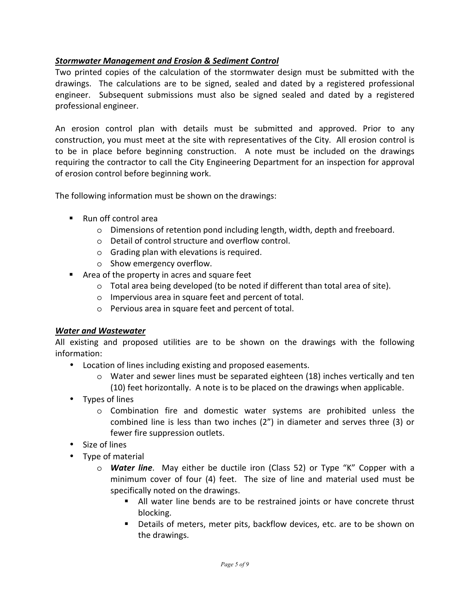#### *Stormwater Management and Erosion & Sediment Control*

Two printed copies of the calculation of the stormwater design must be submitted with the drawings. The calculations are to be signed, sealed and dated by a registered professional engineer. Subsequent submissions must also be signed sealed and dated by a registered professional engineer.

An erosion control plan with details must be submitted and approved. Prior to any construction, you must meet at the site with representatives of the City. All erosion control is to be in place before beginning construction. A note must be included on the drawings requiring the contractor to call the City Engineering Department for an inspection for approval of erosion control before beginning work.

The following information must be shown on the drawings:

- Run off control area
	- o Dimensions of retention pond including length, width, depth and freeboard.
	- o Detail of control structure and overflow control.
	- o Grading plan with elevations is required.
	- o Show emergency overflow.
- **Area of the property in acres and square feet** 
	- $\circ$  Total area being developed (to be noted if different than total area of site).
	- o Impervious area in square feet and percent of total.
	- o Pervious area in square feet and percent of total.

#### *Water and Wastewater*

All existing and proposed utilities are to be shown on the drawings with the following information:

- Location of lines including existing and proposed easements.
	- $\circ$  Water and sewer lines must be separated eighteen (18) inches vertically and ten (10) feet horizontally. A note is to be placed on the drawings when applicable.
- Types of lines
	- o Combination fire and domestic water systems are prohibited unless the combined line is less than two inches (2") in diameter and serves three (3) or fewer fire suppression outlets.
- Size of lines
- Type of material
	- o *Water line*. May either be ductile iron (Class 52) or Type "K" Copper with a minimum cover of four (4) feet. The size of line and material used must be specifically noted on the drawings.
		- All water line bends are to be restrained joints or have concrete thrust blocking.
		- Details of meters, meter pits, backflow devices, etc. are to be shown on the drawings.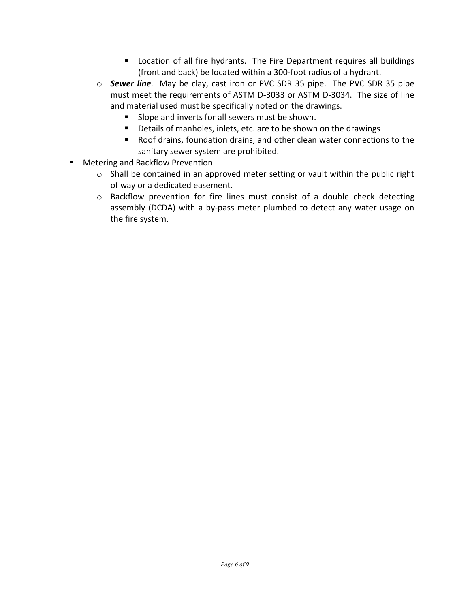- **EXTE:** Location of all fire hydrants. The Fire Department requires all buildings (front and back) be located within a 300-foot radius of a hydrant.
- o *Sewer line*. May be clay, cast iron or PVC SDR 35 pipe. The PVC SDR 35 pipe must meet the requirements of ASTM D-3033 or ASTM D-3034. The size of line and material used must be specifically noted on the drawings.
	- Slope and inverts for all sewers must be shown.
	- Details of manholes, inlets, etc. are to be shown on the drawings
	- Roof drains, foundation drains, and other clean water connections to the sanitary sewer system are prohibited.
- Metering and Backflow Prevention
	- o Shall be contained in an approved meter setting or vault within the public right of way or a dedicated easement.
	- o Backflow prevention for fire lines must consist of a double check detecting assembly (DCDA) with a by-pass meter plumbed to detect any water usage on the fire system.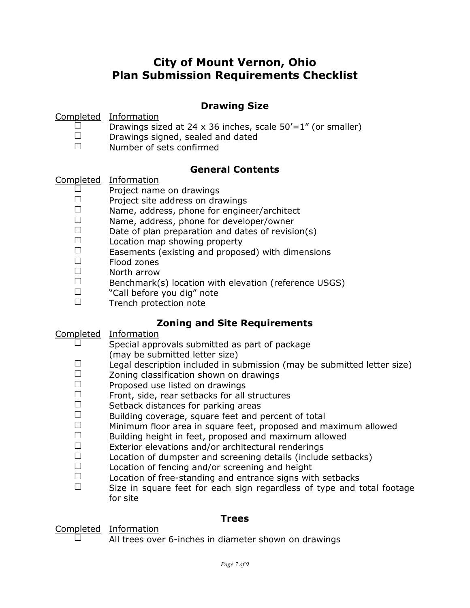# **City of Mount Vernon, Ohio Plan Submission Requirements Checklist**

### **Drawing Size**

Completed Information

- D Drawings sized at 24 x 36 inches, scale 50'=1" (or smaller)<br>
D Drawings signed, sealed and dated
- $\square$  Drawings signed, sealed and dated<br> $\square$  Number of sets confirmed
- Number of sets confirmed

## **General Contents**

 $Complete  
\nInformation  
\n**Project**  
\n**Image**$ </u>

- $\square$  Project name on drawings<br> $\square$  Project site address on dra
- $\square$  Project site address on drawings
- $\square$  Name, address, phone for engineer/architect  $\square$
- $\square$  Name, address, phone for developer/owner
- $\square$  Date of plan preparation and dates of revision(s)  $\square$  Location man showing property
- $\square$  Location map showing property<br> $\square$  Easements (existing and propos
- $\Box$  Easements (existing and proposed) with dimensions  $\Box$
- $\Box$  Flood zones<br> $\Box$  North arrow
- $\square$  North arrow
- $\square$  Benchmark(s) location with elevation (reference USGS)<br> $\square$  Notal before you dig" note
- $\square$  "Call before you dig" note<br> $\square$  Trench protection note
- Trench protection note

## **Zoning and Site Requirements**

Completed Information

- $\Box$  Special approvals submitted as part of package
- (may be submitted letter size)
- Legal description included in submission (may be submitted letter size)<br>  $\Box$  Zoning classification shown on drawings
- $\square$  Zoning classification shown on drawings
- $\square$  Proposed use listed on drawings<br> $\square$  Front, side, rear setbacks for all
- $\square$  Front, side, rear setbacks for all structures<br> $\square$  Setback distances for parking areas
- $\square$  Setback distances for parking areas<br> $\square$  Building coverage, square feet and r
- $\square$  Building coverage, square feet and percent of total  $\square$  Minimum floor area in square feet proposed and m
- $\square$  Minimum floor area in square feet, proposed and maximum allowed<br> $\square$  Building beight in feet, proposed and maximum allowed
- $\square$  Building height in feet, proposed and maximum allowed<br> $\square$  Exterior elevations and/or architectural renderings
- $\square$  Exterior elevations and/or architectural renderings<br> $\square$  Location of dumnster and screening details (include
- $\square$  Location of dumpster and screening details (include setbacks)<br> $\square$  Location of fencing and/or screening and height
- $\square$  Location of fencing and/or screening and height  $\square$  Location of free-standing and entrance signs wit
- $\square$  Location of free-standing and entrance signs with setbacks  $\square$  Size in square feet for each sign regardless of type and t
- Size in square feet for each sign regardless of type and total footage for site

## **Trees**

 $\frac{\text{Completed}}{\Box}$  Information

All trees over 6-inches in diameter shown on drawings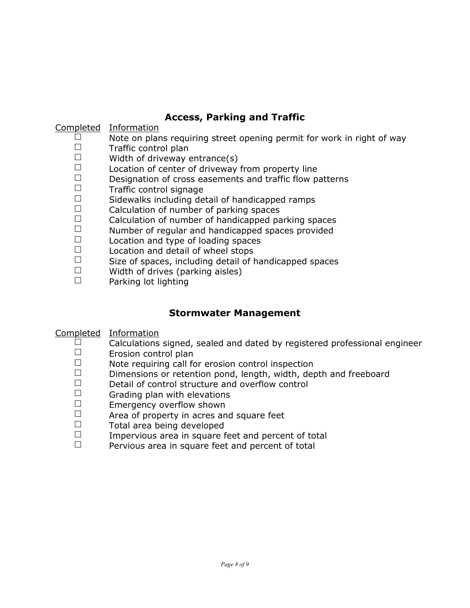## **Access, Parking and Traffic**

#### Completed Information

- $\square$  Note on plans requiring street opening permit for work in right of way  $\square$  Traffic control plan
- $\square$  Traffic control plan
- $\square$  Width of driveway entrance(s)
- $\square$  Location of center of driveway from property line  $\square$  Designation of cross easements and traffic flow p
- $\square$  Designation of cross easements and traffic flow patterns  $\square$
- $\square$  Traffic control signage<br> $\square$  Sidewalks including de
- $\square$  Sidewalks including detail of handicapped ramps  $\square$  Calculation of number of parking spaces
- $\square$  Calculation of number of parking spaces<br> $\square$  Calculation of number of bandicanned pa
- $\square$  Calculation of number of handicapped parking spaces<br> $\square$  Number of requiar and handicapped spaces provided
- $\square$  Number of regular and handicapped spaces provided<br> $\square$  Location and type of loading spaces
- $\square$  Location and type of loading spaces<br> $\square$  Location and detail of wheel stops
- $\square$  Location and detail of wheel stops<br> $\square$  Size of spaces, including detail of b
- $\square$  Size of spaces, including detail of handicapped spaces<br> $\square$  Width of drives (parking aisles)
- $\square$  Width of drives (parking aisles)
- Parking lot lighting

## **Stormwater Management**

#### Completed Information

- $\Box$  Calculations signed, sealed and dated by registered professional engineer  $\Box$
- $\square$  Erosion control plan<br> $\square$  Note requiring call for
- $\square$  Note requiring call for erosion control inspection  $\square$  Dimensions or retention pond length width der
- Dimensions or retention pond, length, width, depth and freeboard
- $\square$  Detail of control structure and overflow control
- $\square$  Grading plan with elevations<br> $\square$  Emergency overflow shown
- $\square$  Emergency overflow shown<br> $\square$  Area of property in acres and
- $\square$  Area of property in acres and square feet
- $\square$  Total area being developed<br> $\square$  Impervious area in square f
- $\square$  Impervious area in square feet and percent of total<br> $\square$  Pervious area in square feet and percent of total
- Pervious area in square feet and percent of total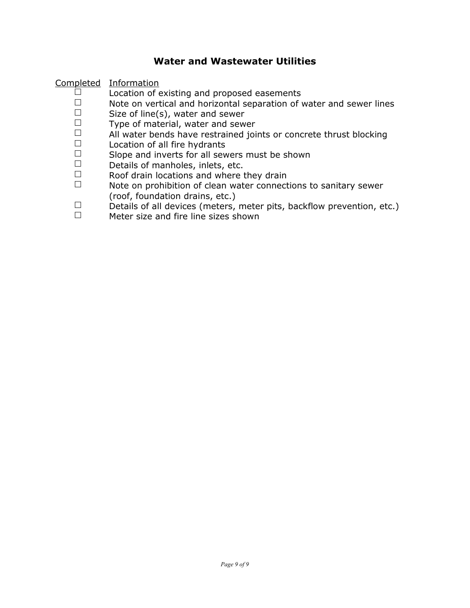#### **Water and Wastewater Utilities**

Completed Information

- $\Box$  Location of existing and proposed easements<br> $\Box$  Note on vertical and horizontal senaration of i
- □ Note on vertical and horizontal separation of water and sewer lines<br>□ Size of line(s), water and sewer
- $\square$  Size of line(s), water and sewer<br> $\square$  Type of material, water and sew
- $\Box$  Type of material, water and sewer<br> $\Box$  All water bends have restrained join
- $\Box$  All water bends have restrained joints or concrete thrust blocking  $\Box$  and acation of all fire hydrants
- $\square$  Location of all fire hydrants<br> $\square$  Slope and inverts for all sew
- $\square$  Slope and inverts for all sewers must be shown  $\square$  Details of manholes, inlets, etc.
- $\square$  Details of manholes, inlets, etc.<br> $\square$  Roof drain locations and where t
- $\square$  Roof drain locations and where they drain
- Note on prohibition of clean water connections to sanitary sewer (roof, foundation drains, etc.)
- Details of all devices (meters, meter pits, backflow prevention, etc.)<br>
Meter size and fire line sizes shown
- Meter size and fire line sizes shown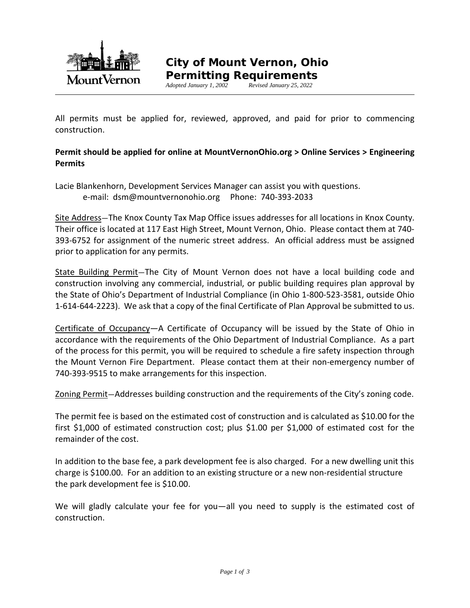

**Permitting Requirements**<br>Adopted January 1, 2002<br>Revised January 25, 2022 *Adopted January 1, 2002 Revised January 25, 2022*

All permits must be applied for, reviewed, approved, and paid for prior to commencing construction.

#### **Permit should be applied for online at MountVernonOhio.org > Online Services > Engineering Permits**

Lacie Blankenhorn, Development Services Manager can assist you with questions. e-mail: dsm@mountvernonohio.org Phone: 740-393-2033

Site Address—The Knox County Tax Map Office issues addresses for all locations in Knox County. Their office is located at 117 East High Street, Mount Vernon, Ohio. Please contact them at 740- 393-6752 for assignment of the numeric street address. An official address must be assigned prior to application for any permits.

State Building Permit-The City of Mount Vernon does not have a local building code and construction involving any commercial, industrial, or public building requires plan approval by the State of Ohio's Department of Industrial Compliance (in Ohio 1-800-523-3581, outside Ohio 1-614-644-2223). We ask that a copy of the final Certificate of Plan Approval be submitted to us.

Certificate of Occupancy—A Certificate of Occupancy will be issued by the State of Ohio in accordance with the requirements of the Ohio Department of Industrial Compliance. As a part of the process for this permit, you will be required to schedule a fire safety inspection through the Mount Vernon Fire Department. Please contact them at their non-emergency number of 740-393-9515 to make arrangements for this inspection.

Zoning Permit—Addresses building construction and the requirements of the City's zoning code.

The permit fee is based on the estimated cost of construction and is calculated as \$10.00 for the first \$1,000 of estimated construction cost; plus \$1.00 per \$1,000 of estimated cost for the remainder of the cost.

In addition to the base fee, a park development fee is also charged. For a new dwelling unit this charge is \$100.00. For an addition to an existing structure or a new non-residential structure the park development fee is \$10.00.

We will gladly calculate your fee for you—all you need to supply is the estimated cost of construction.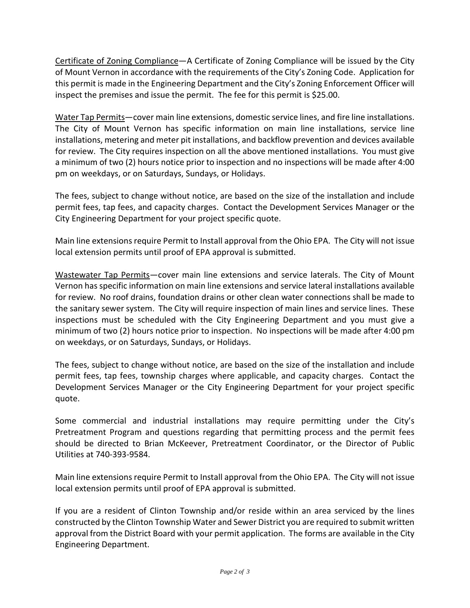Certificate of Zoning Compliance—A Certificate of Zoning Compliance will be issued by the City of Mount Vernon in accordance with the requirements of the City's Zoning Code. Application for this permit is made in the Engineering Department and the City's Zoning Enforcement Officer will inspect the premises and issue the permit. The fee for this permit is \$25.00.

Water Tap Permits—cover main line extensions, domestic service lines, and fire line installations. The City of Mount Vernon has specific information on main line installations, service line installations, metering and meter pit installations, and backflow prevention and devices available for review. The City requires inspection on all the above mentioned installations. You must give a minimum of two (2) hours notice prior to inspection and no inspections will be made after 4:00 pm on weekdays, or on Saturdays, Sundays, or Holidays.

The fees, subject to change without notice, are based on the size of the installation and include permit fees, tap fees, and capacity charges. Contact the Development Services Manager or the City Engineering Department for your project specific quote.

Main line extensions require Permit to Install approval from the Ohio EPA. The City will not issue local extension permits until proof of EPA approval is submitted.

Wastewater Tap Permits—cover main line extensions and service laterals. The City of Mount Vernon has specific information on main line extensions and service lateral installations available for review. No roof drains, foundation drains or other clean water connections shall be made to the sanitary sewer system. The City will require inspection of main lines and service lines. These inspections must be scheduled with the City Engineering Department and you must give a minimum of two (2) hours notice prior to inspection. No inspections will be made after 4:00 pm on weekdays, or on Saturdays, Sundays, or Holidays.

The fees, subject to change without notice, are based on the size of the installation and include permit fees, tap fees, township charges where applicable, and capacity charges. Contact the Development Services Manager or the City Engineering Department for your project specific quote.

Some commercial and industrial installations may require permitting under the City's Pretreatment Program and questions regarding that permitting process and the permit fees should be directed to Brian McKeever, Pretreatment Coordinator, or the Director of Public Utilities at 740-393-9584.

Main line extensions require Permit to Install approval from the Ohio EPA. The City will not issue local extension permits until proof of EPA approval is submitted.

If you are a resident of Clinton Township and/or reside within an area serviced by the lines constructed by the Clinton Township Water and Sewer District you are required to submit written approval from the District Board with your permit application. The forms are available in the City Engineering Department.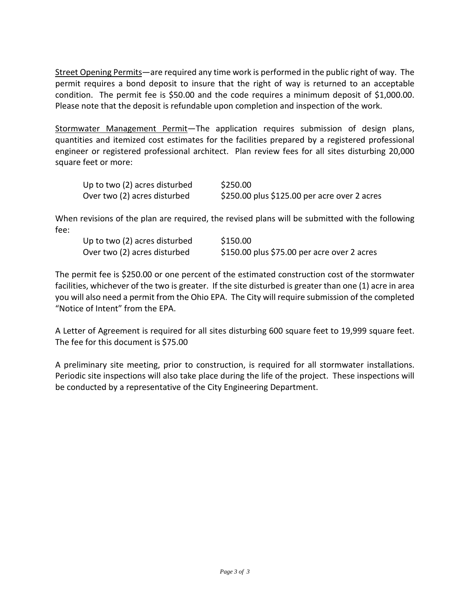Street Opening Permits—are required any time work is performed in the public right of way. The permit requires a bond deposit to insure that the right of way is returned to an acceptable condition. The permit fee is \$50.00 and the code requires a minimum deposit of \$1,000.00. Please note that the deposit is refundable upon completion and inspection of the work.

Stormwater Management Permit—The application requires submission of design plans, quantities and itemized cost estimates for the facilities prepared by a registered professional engineer or registered professional architect. Plan review fees for all sites disturbing 20,000 square feet or more:

| Up to two (2) acres disturbed | \$250.00                                     |
|-------------------------------|----------------------------------------------|
| Over two (2) acres disturbed  | \$250.00 plus \$125.00 per acre over 2 acres |

When revisions of the plan are required, the revised plans will be submitted with the following fee:

| Up to two (2) acres disturbed | \$150.00                                    |
|-------------------------------|---------------------------------------------|
| Over two (2) acres disturbed  | \$150.00 plus \$75.00 per acre over 2 acres |

The permit fee is \$250.00 or one percent of the estimated construction cost of the stormwater facilities, whichever of the two is greater. If the site disturbed is greater than one (1) acre in area you will also need a permit from the Ohio EPA. The City will require submission of the completed "Notice of Intent" from the EPA.

A Letter of Agreement is required for all sites disturbing 600 square feet to 19,999 square feet. The fee for this document is \$75.00

A preliminary site meeting, prior to construction, is required for all stormwater installations. Periodic site inspections will also take place during the life of the project. These inspections will be conducted by a representative of the City Engineering Department.